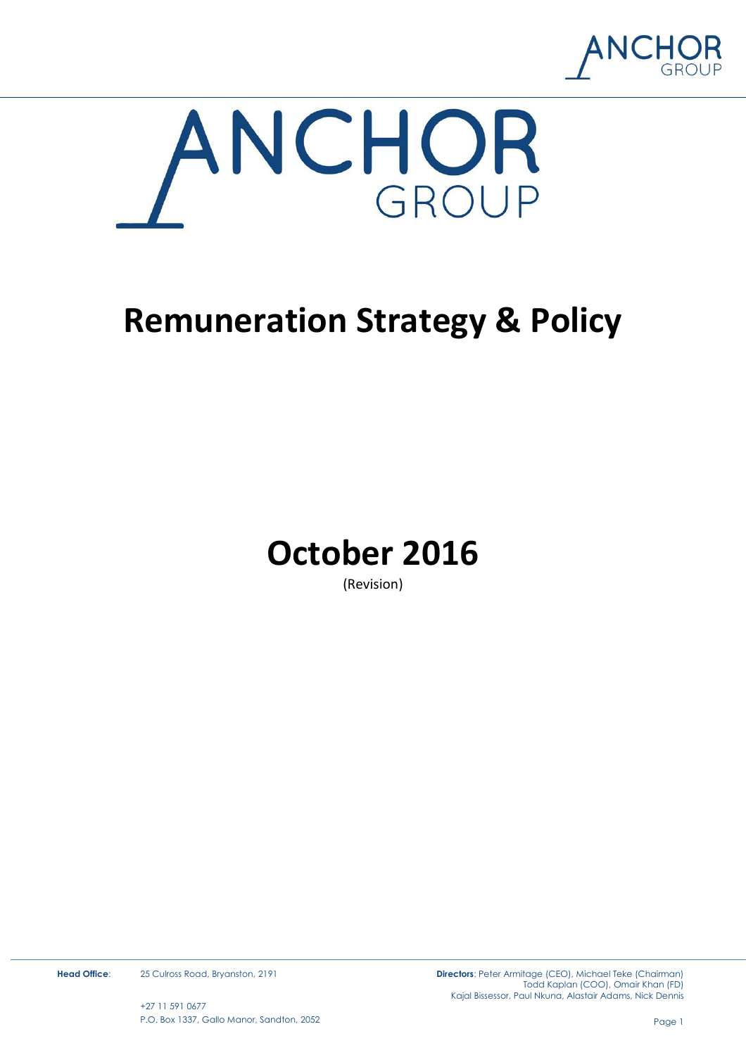



# **Remuneration Strategy & Policy**



(Revision)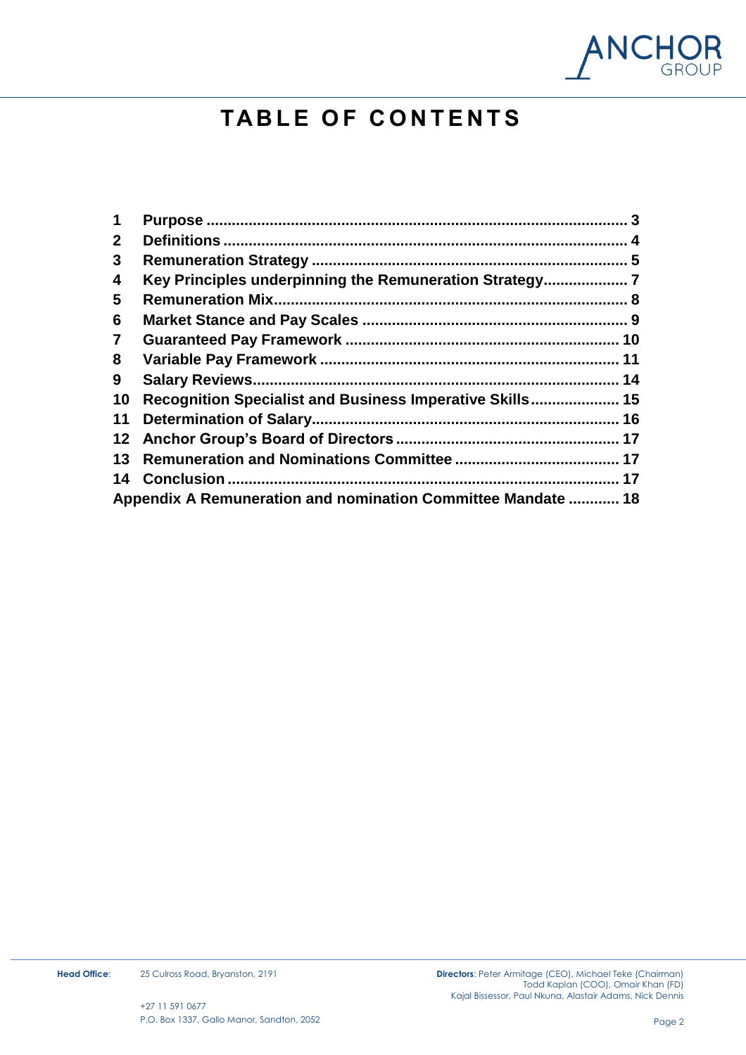

# **TA B L E O F C O N T E N T S**

| 1               |                                                              |    |
|-----------------|--------------------------------------------------------------|----|
| $\mathbf{2}$    |                                                              |    |
| 3               |                                                              |    |
| 4               | Key Principles underpinning the Remuneration Strategy        |    |
| 5               | <b>Remuneration Mix.</b>                                     |    |
| 6               |                                                              |    |
| $\overline{7}$  |                                                              |    |
| 8               |                                                              | 11 |
| 9               |                                                              | 14 |
| 10              | Recognition Specialist and Business Imperative Skills 15     |    |
| 11              |                                                              | 16 |
| 12 <sup>°</sup> |                                                              |    |
| 13              |                                                              |    |
| 14              |                                                              |    |
|                 | Appendix A Remuneration and nomination Committee Mandate  18 |    |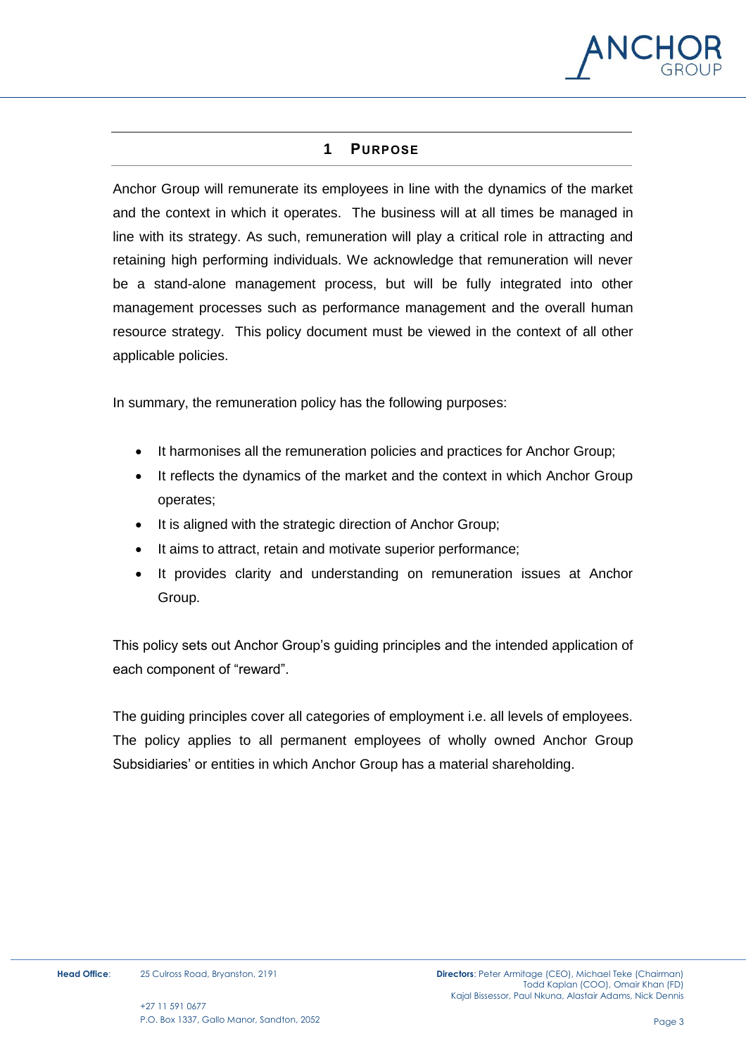

# **1 PURPOSE**

<span id="page-2-0"></span>Anchor Group will remunerate its employees in line with the dynamics of the market and the context in which it operates. The business will at all times be managed in line with its strategy. As such, remuneration will play a critical role in attracting and retaining high performing individuals. We acknowledge that remuneration will never be a stand-alone management process, but will be fully integrated into other management processes such as performance management and the overall human resource strategy. This policy document must be viewed in the context of all other applicable policies.

In summary, the remuneration policy has the following purposes:

- It harmonises all the remuneration policies and practices for Anchor Group;
- It reflects the dynamics of the market and the context in which Anchor Group operates;
- It is aligned with the strategic direction of Anchor Group;
- It aims to attract, retain and motivate superior performance;
- It provides clarity and understanding on remuneration issues at Anchor Group.

This policy sets out Anchor Group's guiding principles and the intended application of each component of "reward".

The guiding principles cover all categories of employment i.e. all levels of employees. The policy applies to all permanent employees of wholly owned Anchor Group Subsidiaries' or entities in which Anchor Group has a material shareholding.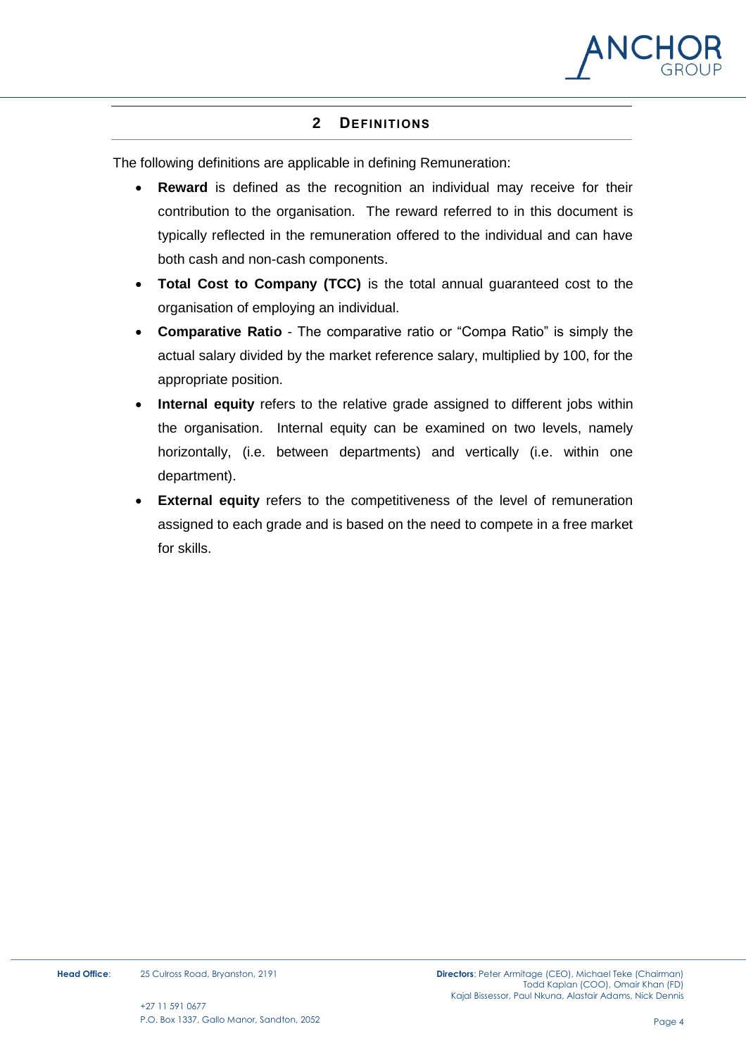

# **2 DEFINITIONS**

<span id="page-3-0"></span>The following definitions are applicable in defining Remuneration:

- **Reward** is defined as the recognition an individual may receive for their contribution to the organisation. The reward referred to in this document is typically reflected in the remuneration offered to the individual and can have both cash and non-cash components.
- **Total Cost to Company (TCC)** is the total annual guaranteed cost to the organisation of employing an individual.
- **Comparative Ratio** The comparative ratio or "Compa Ratio" is simply the actual salary divided by the market reference salary, multiplied by 100, for the appropriate position.
- **Internal equity** refers to the relative grade assigned to different jobs within the organisation. Internal equity can be examined on two levels, namely horizontally, (i.e. between departments) and vertically (i.e. within one department).
- **External equity** refers to the competitiveness of the level of remuneration assigned to each grade and is based on the need to compete in a free market for skills.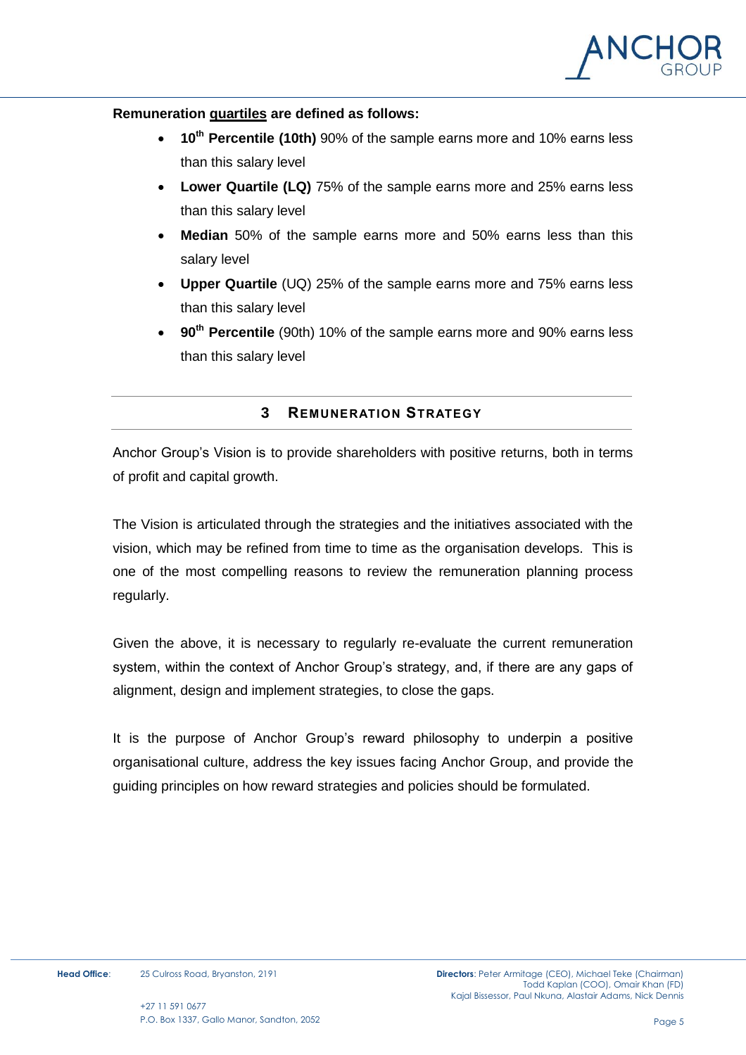

#### **Remuneration quartiles are defined as follows:**

- **10th Percentile (10th)** 90% of the sample earns more and 10% earns less than this salary level
- **Lower Quartile (LQ)** 75% of the sample earns more and 25% earns less than this salary level
- **Median** 50% of the sample earns more and 50% earns less than this salary level
- **Upper Quartile** (UQ) 25% of the sample earns more and 75% earns less than this salary level
- **90th Percentile** (90th) 10% of the sample earns more and 90% earns less than this salary level

#### **3 REMUNERATION STRATEGY**

<span id="page-4-0"></span>Anchor Group's Vision is to provide shareholders with positive returns, both in terms of profit and capital growth.

The Vision is articulated through the strategies and the initiatives associated with the vision, which may be refined from time to time as the organisation develops. This is one of the most compelling reasons to review the remuneration planning process regularly.

Given the above, it is necessary to regularly re-evaluate the current remuneration system, within the context of Anchor Group's strategy, and, if there are any gaps of alignment, design and implement strategies, to close the gaps.

It is the purpose of Anchor Group's reward philosophy to underpin a positive organisational culture, address the key issues facing Anchor Group, and provide the guiding principles on how reward strategies and policies should be formulated.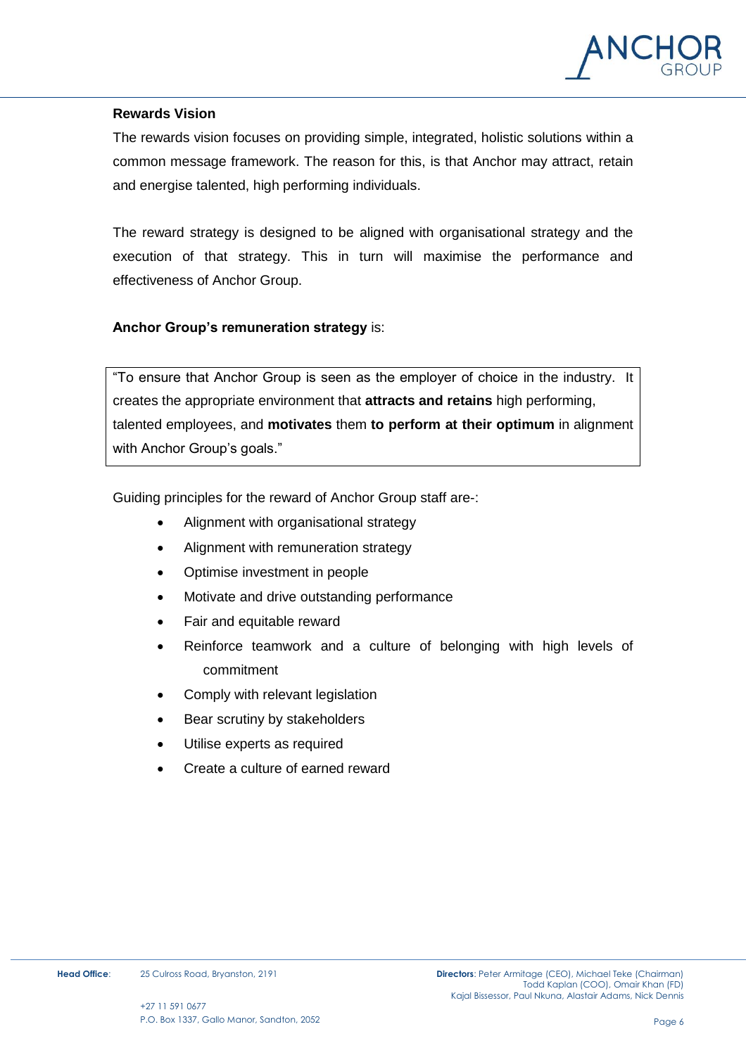

#### **Rewards Vision**

The rewards vision focuses on providing simple, integrated, holistic solutions within a common message framework. The reason for this, is that Anchor may attract, retain and energise talented, high performing individuals.

The reward strategy is designed to be aligned with organisational strategy and the execution of that strategy. This in turn will maximise the performance and effectiveness of Anchor Group.

#### **Anchor Group's remuneration strategy** is:

"To ensure that Anchor Group is seen as the employer of choice in the industry. It creates the appropriate environment that **attracts and retains** high performing, talented employees, and **motivates** them **to perform at their optimum** in alignment with Anchor Group's goals."

Guiding principles for the reward of Anchor Group staff are-:

- Alignment with organisational strategy
- Alignment with remuneration strategy
- Optimise investment in people
- Motivate and drive outstanding performance
- Fair and equitable reward
- Reinforce teamwork and a culture of belonging with high levels of commitment
- Comply with relevant legislation
- Bear scrutiny by stakeholders
- Utilise experts as required
- Create a culture of earned reward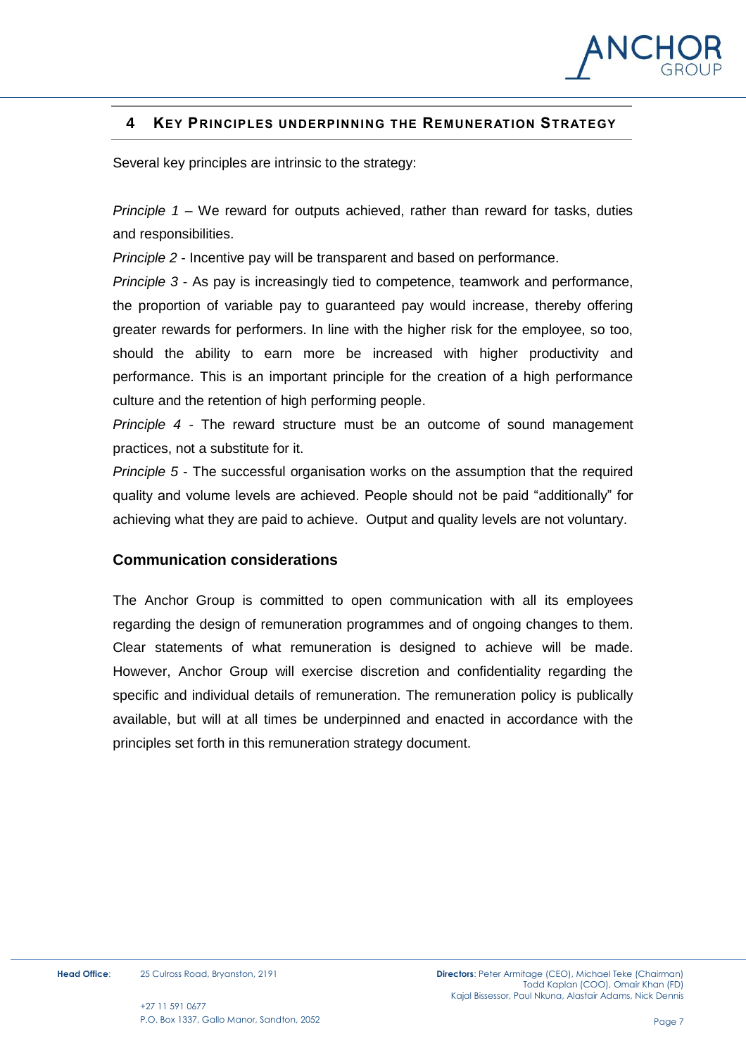

# <span id="page-6-0"></span>**4 KEY PRINCIPLES UNDERPINNING THE REMUNERATION STRATEGY**

Several key principles are intrinsic to the strategy:

*Principle 1* – We reward for outputs achieved, rather than reward for tasks, duties and responsibilities.

*Principle 2* - Incentive pay will be transparent and based on performance.

*Principle 3* - As pay is increasingly tied to competence, teamwork and performance, the proportion of variable pay to guaranteed pay would increase, thereby offering greater rewards for performers. In line with the higher risk for the employee, so too, should the ability to earn more be increased with higher productivity and performance. This is an important principle for the creation of a high performance culture and the retention of high performing people.

*Principle 4* - The reward structure must be an outcome of sound management practices, not a substitute for it.

*Principle 5* - The successful organisation works on the assumption that the required quality and volume levels are achieved. People should not be paid "additionally" for achieving what they are paid to achieve. Output and quality levels are not voluntary.

#### **Communication considerations**

The Anchor Group is committed to open communication with all its employees regarding the design of remuneration programmes and of ongoing changes to them. Clear statements of what remuneration is designed to achieve will be made. However, Anchor Group will exercise discretion and confidentiality regarding the specific and individual details of remuneration. The remuneration policy is publically available, but will at all times be underpinned and enacted in accordance with the principles set forth in this remuneration strategy document.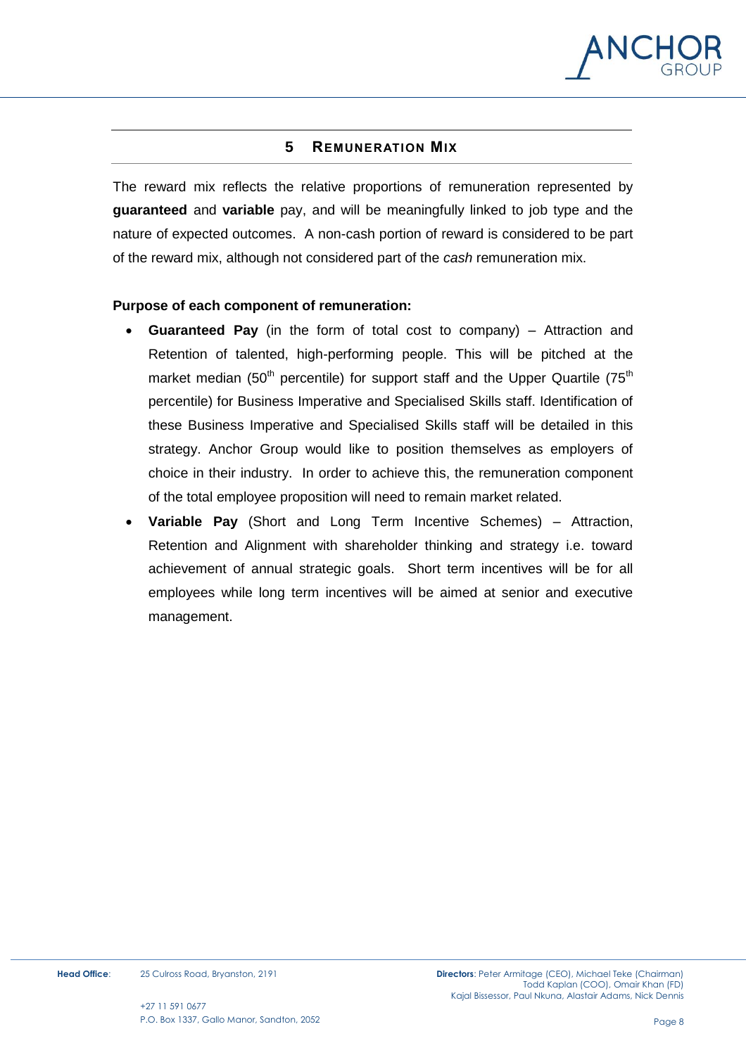

# **5 REMUNERATION MIX**

<span id="page-7-0"></span>The reward mix reflects the relative proportions of remuneration represented by **guaranteed** and **variable** pay, and will be meaningfully linked to job type and the nature of expected outcomes. A non-cash portion of reward is considered to be part of the reward mix, although not considered part of the *cash* remuneration mix.

#### **Purpose of each component of remuneration:**

- **Guaranteed Pay** (in the form of total cost to company) Attraction and Retention of talented, high-performing people. This will be pitched at the market median (50<sup>th</sup> percentile) for support staff and the Upper Quartile (75<sup>th</sup>) percentile) for Business Imperative and Specialised Skills staff. Identification of these Business Imperative and Specialised Skills staff will be detailed in this strategy. Anchor Group would like to position themselves as employers of choice in their industry. In order to achieve this, the remuneration component of the total employee proposition will need to remain market related.
- **Variable Pay** (Short and Long Term Incentive Schemes) Attraction, Retention and Alignment with shareholder thinking and strategy i.e. toward achievement of annual strategic goals. Short term incentives will be for all employees while long term incentives will be aimed at senior and executive management.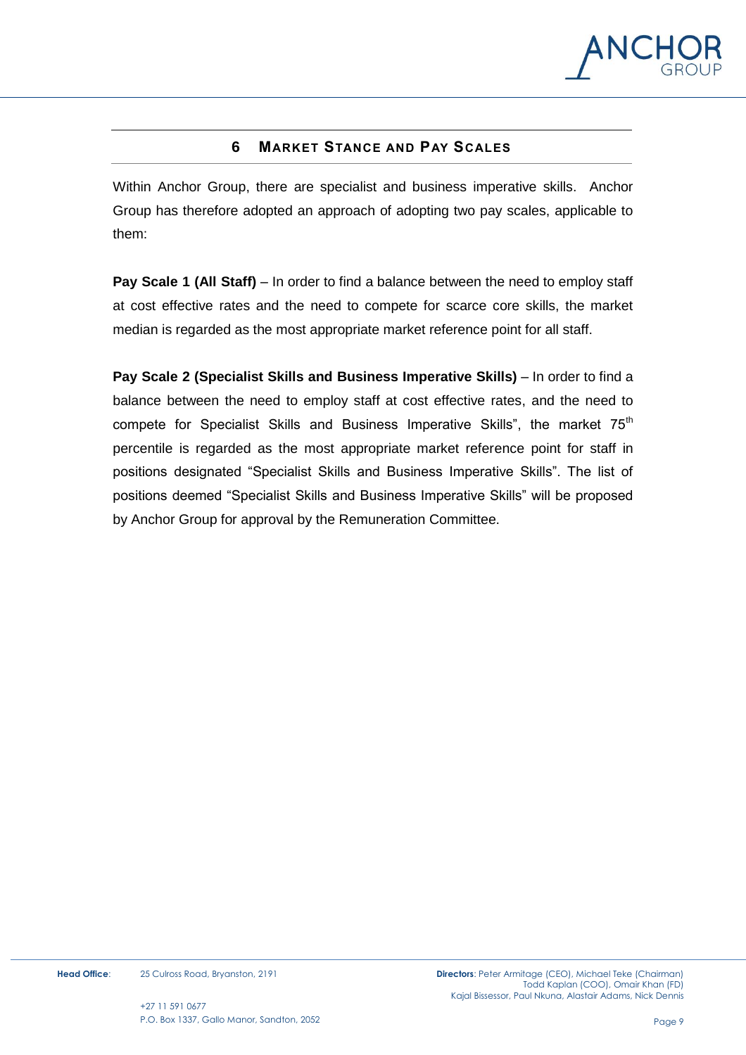

# **6 MARKET STANCE AND PAY SCALES**

<span id="page-8-0"></span>Within Anchor Group, there are specialist and business imperative skills. Anchor Group has therefore adopted an approach of adopting two pay scales, applicable to them:

**Pay Scale 1 (All Staff)** – In order to find a balance between the need to employ staff at cost effective rates and the need to compete for scarce core skills, the market median is regarded as the most appropriate market reference point for all staff.

**Pay Scale 2 (Specialist Skills and Business Imperative Skills)** – In order to find a balance between the need to employ staff at cost effective rates, and the need to compete for Specialist Skills and Business Imperative Skills", the market  $75<sup>th</sup>$ percentile is regarded as the most appropriate market reference point for staff in positions designated "Specialist Skills and Business Imperative Skills". The list of positions deemed "Specialist Skills and Business Imperative Skills" will be proposed by Anchor Group for approval by the Remuneration Committee.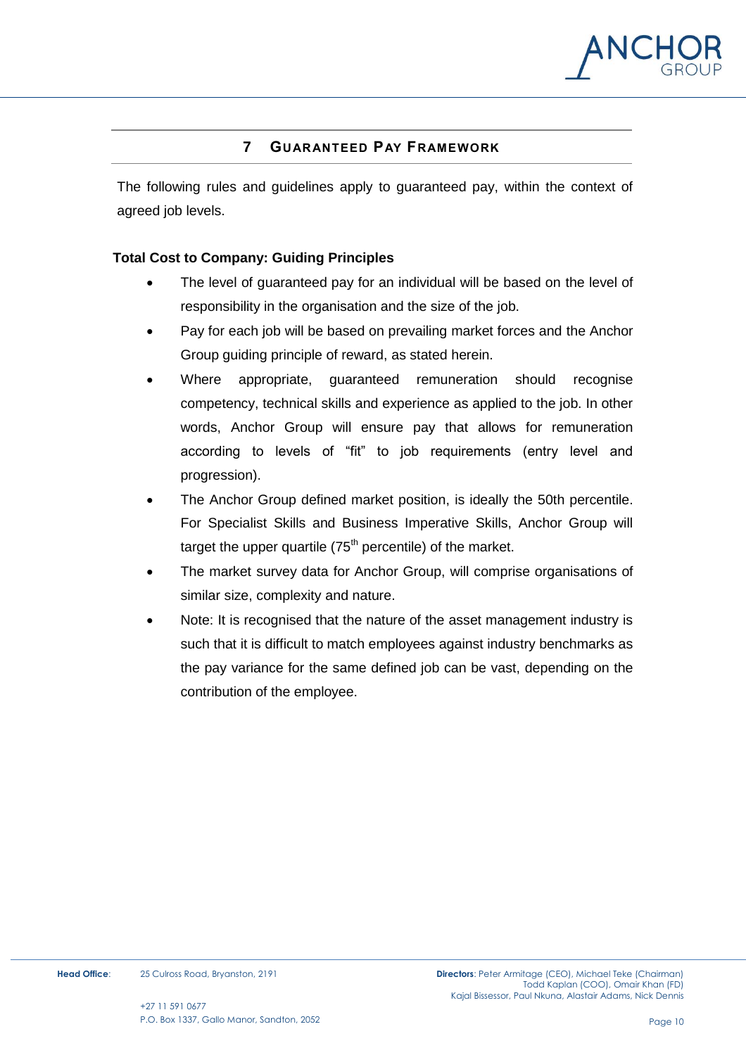

# **7 GUARANTEED PAY FRAMEWORK**

<span id="page-9-0"></span>The following rules and guidelines apply to guaranteed pay, within the context of agreed job levels.

#### **Total Cost to Company: Guiding Principles**

- The level of guaranteed pay for an individual will be based on the level of responsibility in the organisation and the size of the job.
- Pay for each job will be based on prevailing market forces and the Anchor Group guiding principle of reward, as stated herein.
- Where appropriate, guaranteed remuneration should recognise competency, technical skills and experience as applied to the job. In other words, Anchor Group will ensure pay that allows for remuneration according to levels of "fit" to job requirements (entry level and progression).
- The Anchor Group defined market position, is ideally the 50th percentile. For Specialist Skills and Business Imperative Skills, Anchor Group will target the upper quartile  $(75<sup>th</sup>$  percentile) of the market.
- The market survey data for Anchor Group, will comprise organisations of similar size, complexity and nature.
- Note: It is recognised that the nature of the asset management industry is such that it is difficult to match employees against industry benchmarks as the pay variance for the same defined job can be vast, depending on the contribution of the employee.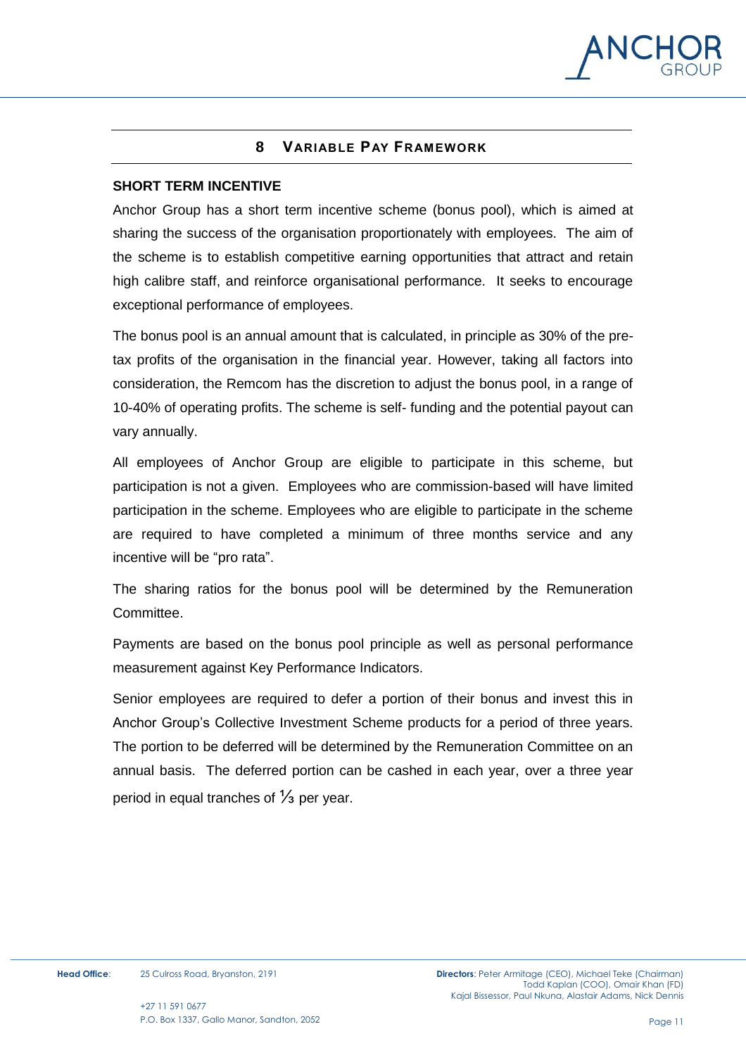

# **8 VARIABLE PAY FRAMEWORK**

#### <span id="page-10-0"></span>**SHORT TERM INCENTIVE**

Anchor Group has a short term incentive scheme (bonus pool), which is aimed at sharing the success of the organisation proportionately with employees. The aim of the scheme is to establish competitive earning opportunities that attract and retain high calibre staff, and reinforce organisational performance. It seeks to encourage exceptional performance of employees.

The bonus pool is an annual amount that is calculated, in principle as 30% of the pretax profits of the organisation in the financial year. However, taking all factors into consideration, the Remcom has the discretion to adjust the bonus pool, in a range of 10-40% of operating profits. The scheme is self- funding and the potential payout can vary annually.

All employees of Anchor Group are eligible to participate in this scheme, but participation is not a given. Employees who are commission-based will have limited participation in the scheme. Employees who are eligible to participate in the scheme are required to have completed a minimum of three months service and any incentive will be "pro rata".

The sharing ratios for the bonus pool will be determined by the Remuneration Committee.

Payments are based on the bonus pool principle as well as personal performance measurement against Key Performance Indicators.

Senior employees are required to defer a portion of their bonus and invest this in Anchor Group's Collective Investment Scheme products for a period of three years. The portion to be deferred will be determined by the Remuneration Committee on an annual basis. The deferred portion can be cashed in each year, over a three year period in equal tranches of <sup>1</sup>⁄<sub>3</sub> per year.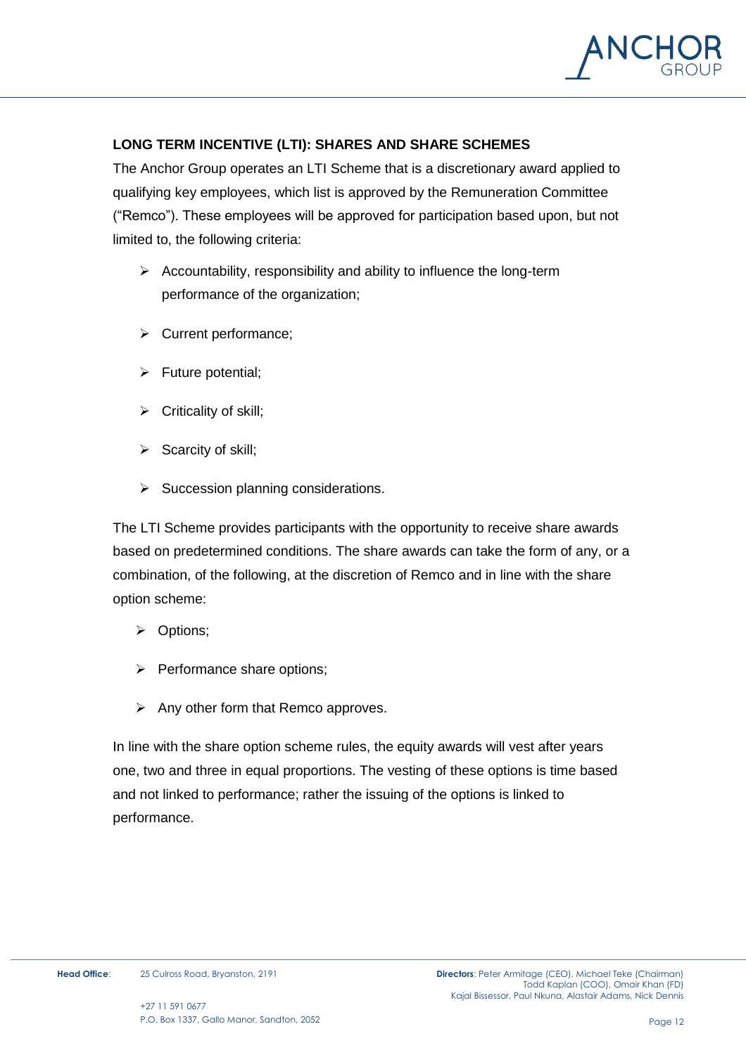

# **LONG TERM INCENTIVE (LTI): SHARES AND SHARE SCHEMES**

The Anchor Group operates an LTI Scheme that is a discretionary award applied to qualifying key employees, which list is approved by the Remuneration Committee ("Remco"). These employees will be approved for participation based upon, but not limited to, the following criteria:

- $\triangleright$  Accountability, responsibility and ability to influence the long-term performance of the organization;
- $\triangleright$  Current performance;
- $\triangleright$  Future potential;
- $\triangleright$  Criticality of skill;
- $\triangleright$  Scarcity of skill;
- $\triangleright$  Succession planning considerations.

The LTI Scheme provides participants with the opportunity to receive share awards based on predetermined conditions. The share awards can take the form of any, or a combination, of the following, at the discretion of Remco and in line with the share option scheme:

- **▷** Options;
- $\triangleright$  Performance share options;
- $\triangleright$  Any other form that Remco approves.

In line with the share option scheme rules, the equity awards will vest after years one, two and three in equal proportions. The vesting of these options is time based and not linked to performance; rather the issuing of the options is linked to performance.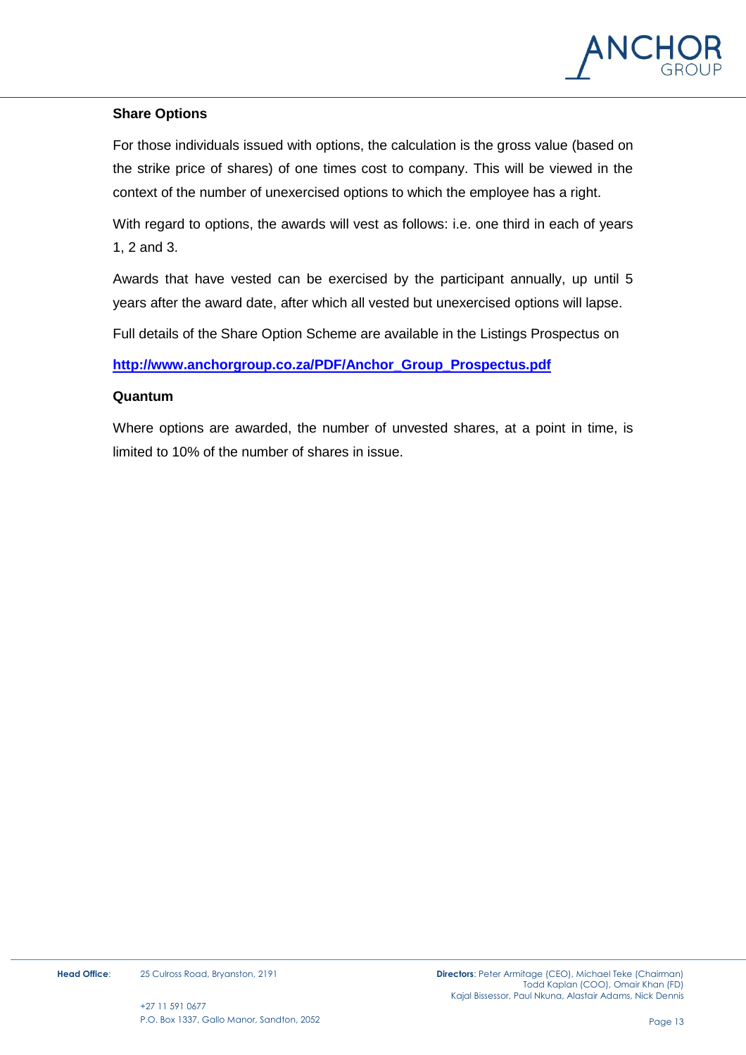

# **Share Options**

For those individuals issued with options, the calculation is the gross value (based on the strike price of shares) of one times cost to company. This will be viewed in the context of the number of unexercised options to which the employee has a right.

With regard to options, the awards will vest as follows: i.e. one third in each of years 1, 2 and 3.

Awards that have vested can be exercised by the participant annually, up until 5 years after the award date, after which all vested but unexercised options will lapse.

Full details of the Share Option Scheme are available in the Listings Prospectus on

**[http://www.anchorgroup.co.za/PDF/Anchor\\_Group\\_Prospectus.pdf](http://www.anchorgroup.co.za/PDF/Anchor_Group_Prospectus.pdf)**

#### **Quantum**

Where options are awarded, the number of unvested shares, at a point in time, is limited to 10% of the number of shares in issue.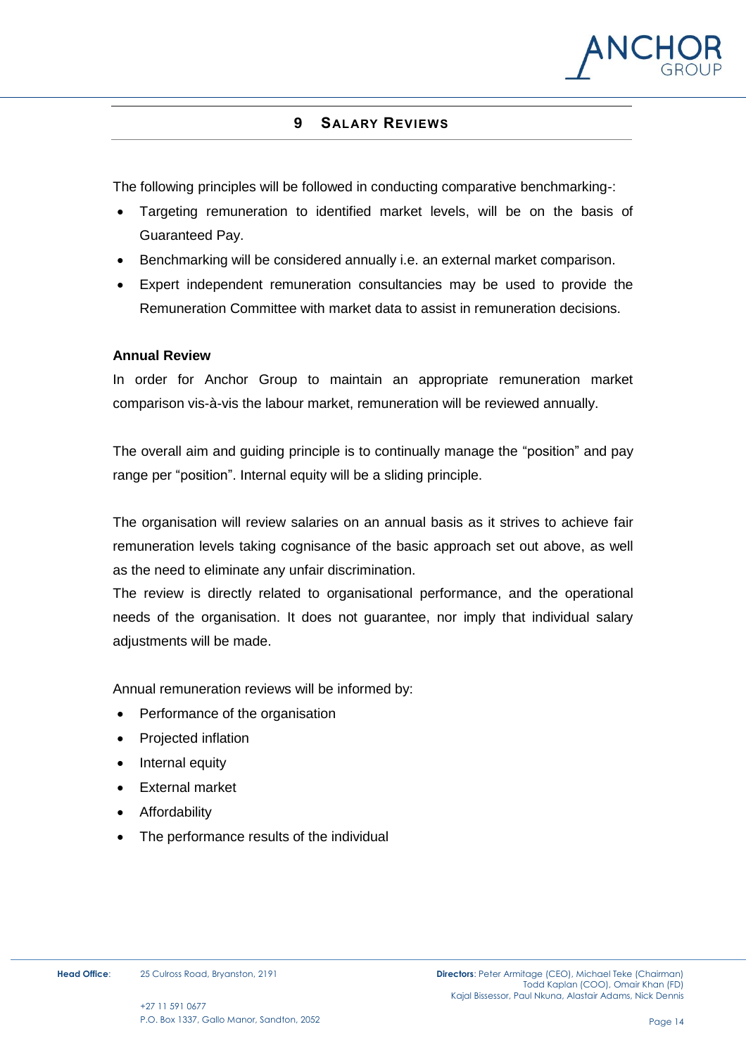

#### **9 SALARY REVIEWS**

<span id="page-13-0"></span>The following principles will be followed in conducting comparative benchmarking-:

- Targeting remuneration to identified market levels, will be on the basis of Guaranteed Pay.
- Benchmarking will be considered annually i.e. an external market comparison.
- Expert independent remuneration consultancies may be used to provide the Remuneration Committee with market data to assist in remuneration decisions.

#### **Annual Review**

In order for Anchor Group to maintain an appropriate remuneration market comparison vis-à-vis the labour market, remuneration will be reviewed annually.

The overall aim and guiding principle is to continually manage the "position" and pay range per "position". Internal equity will be a sliding principle.

The organisation will review salaries on an annual basis as it strives to achieve fair remuneration levels taking cognisance of the basic approach set out above, as well as the need to eliminate any unfair discrimination.

The review is directly related to organisational performance, and the operational needs of the organisation. It does not guarantee, nor imply that individual salary adjustments will be made.

Annual remuneration reviews will be informed by:

- Performance of the organisation
- Projected inflation
- Internal equity
- External market
- Affordability
- The performance results of the individual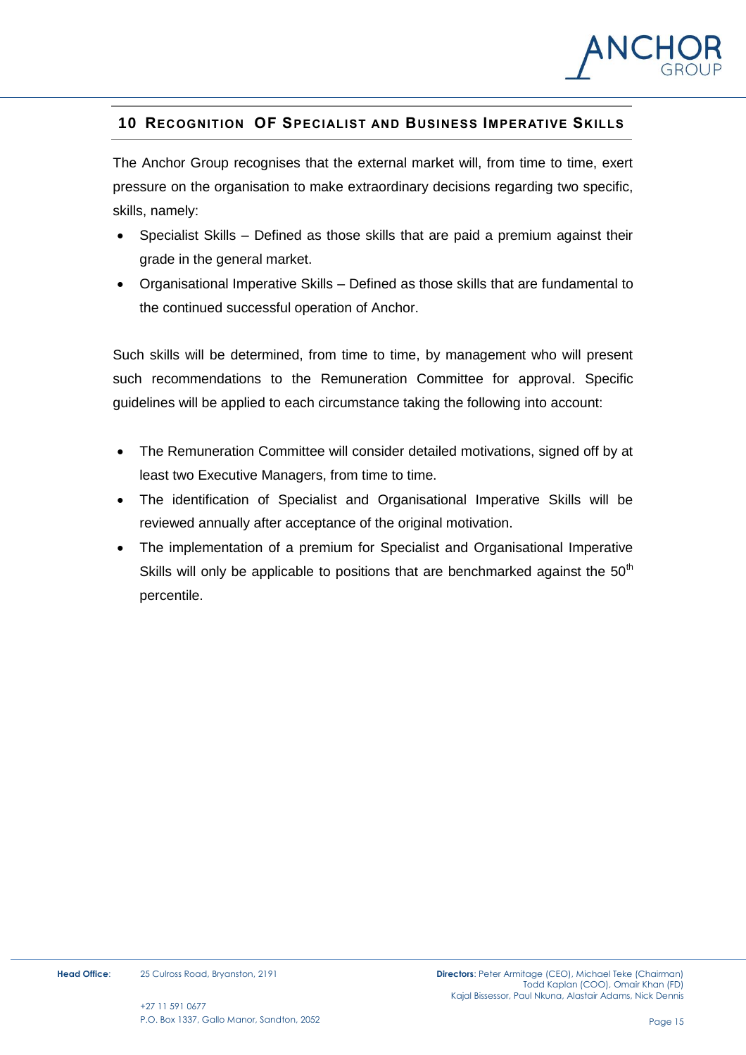

# <span id="page-14-0"></span>**10 RECOGNITION OF SPECIALIST AND BUSINESS IMPERATIVE SKILLS**

The Anchor Group recognises that the external market will, from time to time, exert pressure on the organisation to make extraordinary decisions regarding two specific, skills, namely:

- Specialist Skills Defined as those skills that are paid a premium against their grade in the general market.
- Organisational Imperative Skills Defined as those skills that are fundamental to the continued successful operation of Anchor.

Such skills will be determined, from time to time, by management who will present such recommendations to the Remuneration Committee for approval. Specific guidelines will be applied to each circumstance taking the following into account:

- The Remuneration Committee will consider detailed motivations, signed off by at least two Executive Managers, from time to time.
- The identification of Specialist and Organisational Imperative Skills will be reviewed annually after acceptance of the original motivation.
- The implementation of a premium for Specialist and Organisational Imperative Skills will only be applicable to positions that are benchmarked against the  $50<sup>th</sup>$ percentile.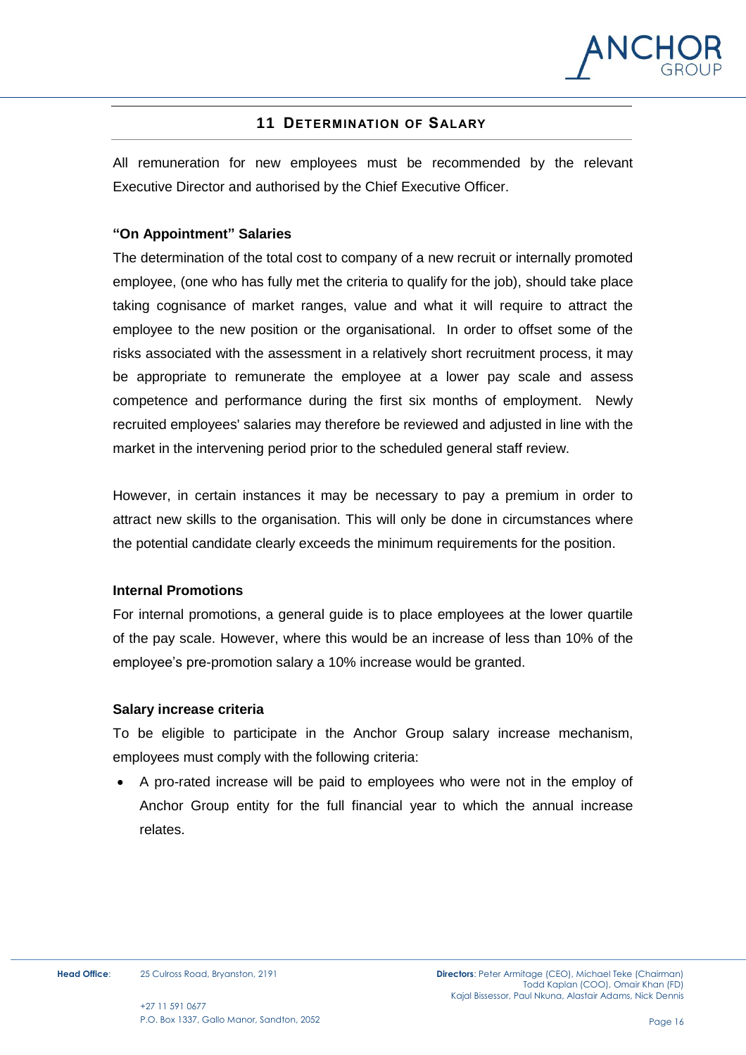

# **11 DETERMINATION OF SALARY**

<span id="page-15-0"></span>All remuneration for new employees must be recommended by the relevant Executive Director and authorised by the Chief Executive Officer.

#### **"On Appointment" Salaries**

The determination of the total cost to company of a new recruit or internally promoted employee, (one who has fully met the criteria to qualify for the job), should take place taking cognisance of market ranges, value and what it will require to attract the employee to the new position or the organisational. In order to offset some of the risks associated with the assessment in a relatively short recruitment process, it may be appropriate to remunerate the employee at a lower pay scale and assess competence and performance during the first six months of employment. Newly recruited employees' salaries may therefore be reviewed and adjusted in line with the market in the intervening period prior to the scheduled general staff review.

However, in certain instances it may be necessary to pay a premium in order to attract new skills to the organisation. This will only be done in circumstances where the potential candidate clearly exceeds the minimum requirements for the position.

#### **Internal Promotions**

For internal promotions, a general guide is to place employees at the lower quartile of the pay scale. However, where this would be an increase of less than 10% of the employee's pre-promotion salary a 10% increase would be granted.

#### **Salary increase criteria**

To be eligible to participate in the Anchor Group salary increase mechanism, employees must comply with the following criteria:

 A pro-rated increase will be paid to employees who were not in the employ of Anchor Group entity for the full financial year to which the annual increase relates.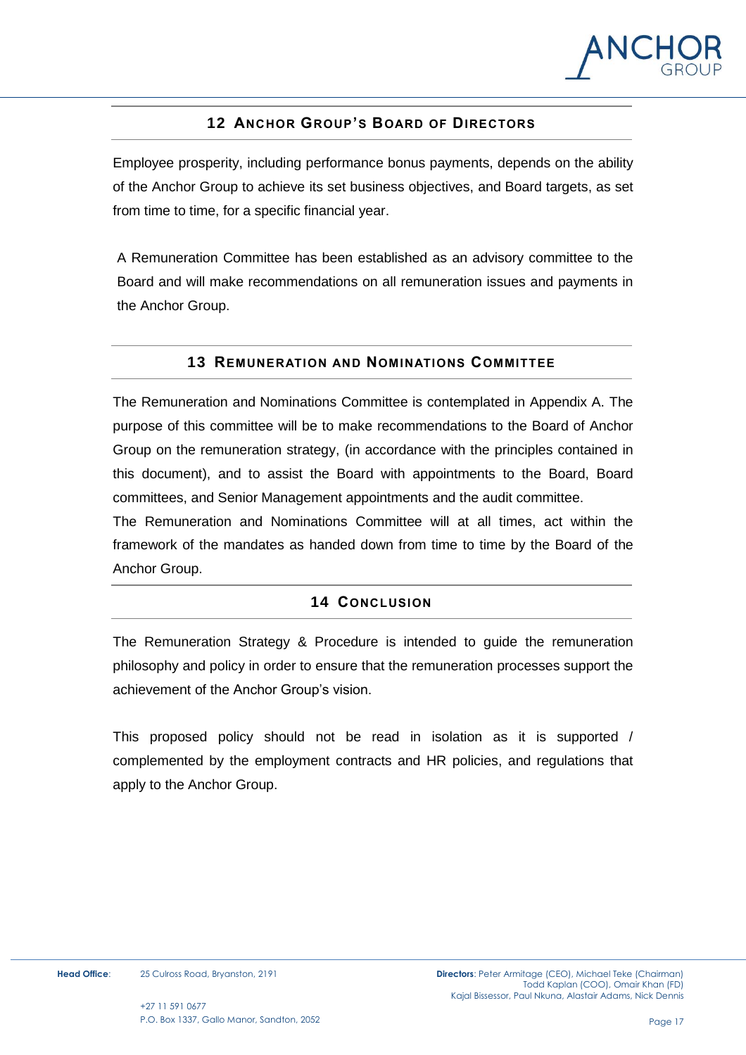

# **12 ANCHOR GROUP'S BOARD OF DIRECTORS**

<span id="page-16-0"></span>Employee prosperity, including performance bonus payments, depends on the ability of the Anchor Group to achieve its set business objectives, and Board targets, as set from time to time, for a specific financial year.

A Remuneration Committee has been established as an advisory committee to the Board and will make recommendations on all remuneration issues and payments in the Anchor Group.

# **13 REMUNERATION AND NOMINATIONS COMMITTEE**

<span id="page-16-1"></span>The Remuneration and Nominations Committee is contemplated in Appendix A. The purpose of this committee will be to make recommendations to the Board of Anchor Group on the remuneration strategy, (in accordance with the principles contained in this document), and to assist the Board with appointments to the Board, Board committees, and Senior Management appointments and the audit committee.

The Remuneration and Nominations Committee will at all times, act within the framework of the mandates as handed down from time to time by the Board of the Anchor Group.

# **14 CONCLUSION**

<span id="page-16-2"></span>The Remuneration Strategy & Procedure is intended to guide the remuneration philosophy and policy in order to ensure that the remuneration processes support the achievement of the Anchor Group's vision.

This proposed policy should not be read in isolation as it is supported / complemented by the employment contracts and HR policies, and regulations that apply to the Anchor Group.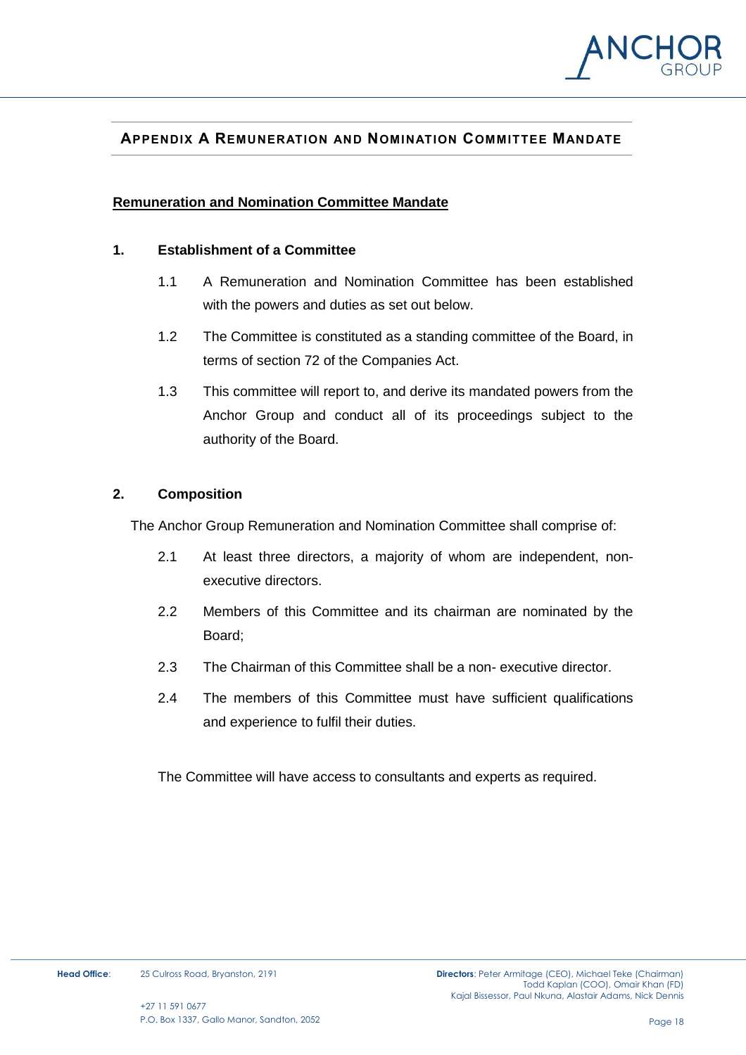

# <span id="page-17-0"></span>**APPENDIX A REMUNERATION AND NOMINATION COMMITTEE MANDATE**

#### **Remuneration and Nomination Committee Mandate**

#### **1. Establishment of a Committee**

- 1.1 A Remuneration and Nomination Committee has been established with the powers and duties as set out below.
- 1.2 The Committee is constituted as a standing committee of the Board, in terms of section 72 of the Companies Act.
- 1.3 This committee will report to, and derive its mandated powers from the Anchor Group and conduct all of its proceedings subject to the authority of the Board.

#### **2. Composition**

The Anchor Group Remuneration and Nomination Committee shall comprise of:

- 2.1 At least three directors, a majority of whom are independent, nonexecutive directors.
- 2.2 Members of this Committee and its chairman are nominated by the Board;
- 2.3 The Chairman of this Committee shall be a non- executive director.
- 2.4 The members of this Committee must have sufficient qualifications and experience to fulfil their duties.

The Committee will have access to consultants and experts as required.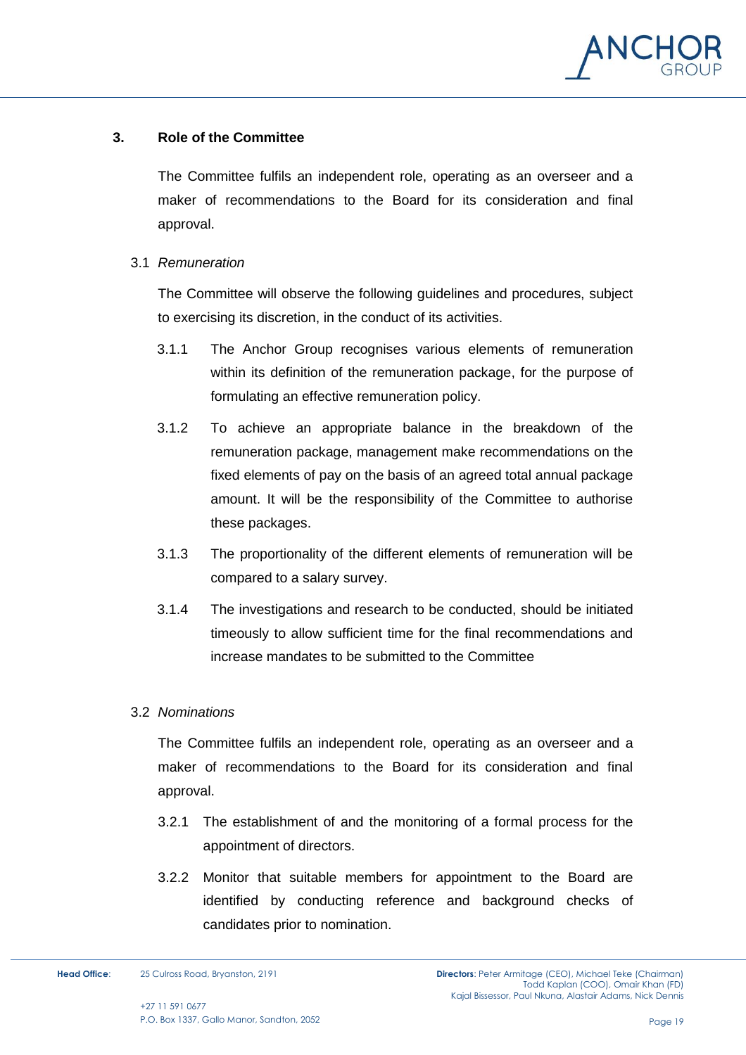

#### **3. Role of the Committee**

The Committee fulfils an independent role, operating as an overseer and a maker of recommendations to the Board for its consideration and final approval.

3.1 *Remuneration*

The Committee will observe the following guidelines and procedures, subject to exercising its discretion, in the conduct of its activities.

- 3.1.1 The Anchor Group recognises various elements of remuneration within its definition of the remuneration package, for the purpose of formulating an effective remuneration policy.
- 3.1.2 To achieve an appropriate balance in the breakdown of the remuneration package, management make recommendations on the fixed elements of pay on the basis of an agreed total annual package amount. It will be the responsibility of the Committee to authorise these packages.
- 3.1.3 The proportionality of the different elements of remuneration will be compared to a salary survey.
- 3.1.4 The investigations and research to be conducted, should be initiated timeously to allow sufficient time for the final recommendations and increase mandates to be submitted to the Committee

#### 3.2 *Nominations*

The Committee fulfils an independent role, operating as an overseer and a maker of recommendations to the Board for its consideration and final approval.

- 3.2.1 The establishment of and the monitoring of a formal process for the appointment of directors.
- 3.2.2 Monitor that suitable members for appointment to the Board are identified by conducting reference and background checks of candidates prior to nomination.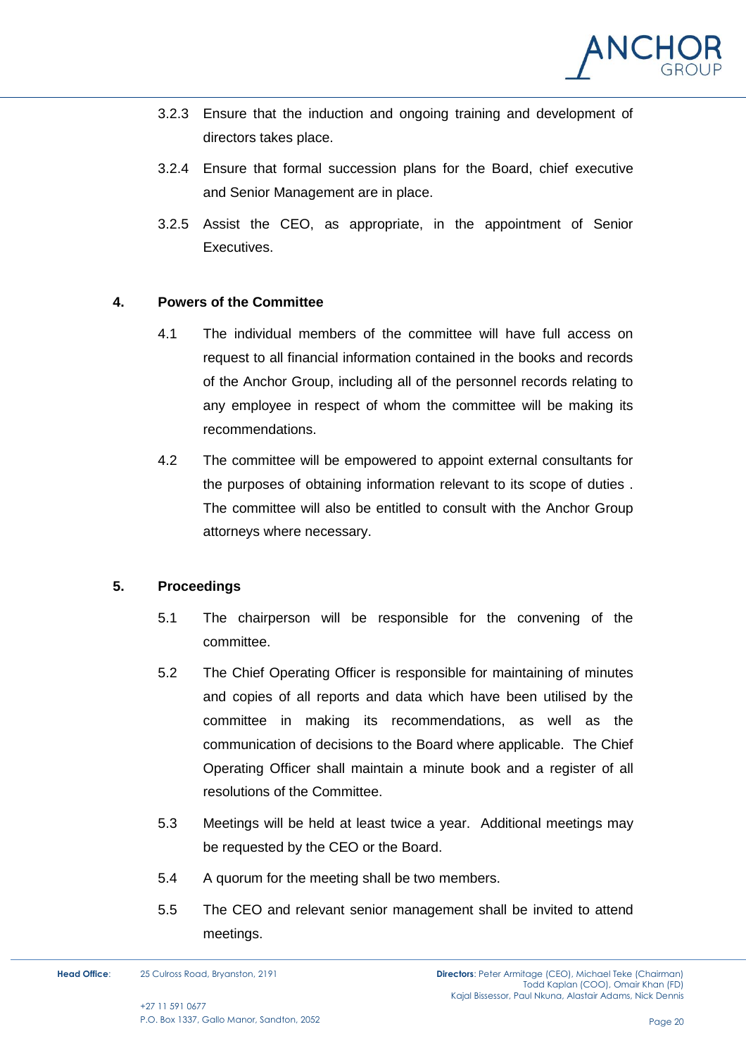

- 3.2.3 Ensure that the induction and ongoing training and development of directors takes place.
- 3.2.4 Ensure that formal succession plans for the Board, chief executive and Senior Management are in place.
- 3.2.5 Assist the CEO, as appropriate, in the appointment of Senior Executives.

#### **4. Powers of the Committee**

- 4.1 The individual members of the committee will have full access on request to all financial information contained in the books and records of the Anchor Group, including all of the personnel records relating to any employee in respect of whom the committee will be making its recommendations.
- 4.2 The committee will be empowered to appoint external consultants for the purposes of obtaining information relevant to its scope of duties . The committee will also be entitled to consult with the Anchor Group attorneys where necessary.

# **5. Proceedings**

- 5.1 The chairperson will be responsible for the convening of the committee.
- 5.2 The Chief Operating Officer is responsible for maintaining of minutes and copies of all reports and data which have been utilised by the committee in making its recommendations, as well as the communication of decisions to the Board where applicable. The Chief Operating Officer shall maintain a minute book and a register of all resolutions of the Committee.
- 5.3 Meetings will be held at least twice a year. Additional meetings may be requested by the CEO or the Board.
- 5.4 A quorum for the meeting shall be two members.
- 5.5 The CEO and relevant senior management shall be invited to attend meetings.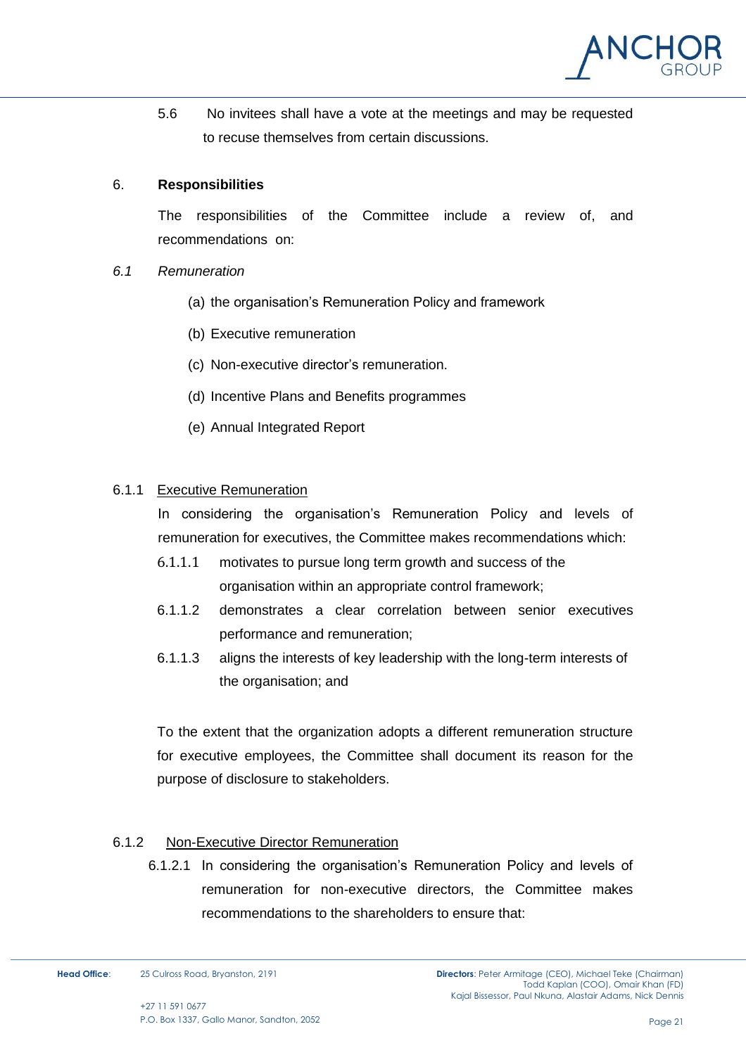

5.6 No invitees shall have a vote at the meetings and may be requested to recuse themselves from certain discussions.

#### 6. **Responsibilities**

The responsibilities of the Committee include a review of, and recommendations on:

- *6.1 Remuneration*
	- (a) the organisation's Remuneration Policy and framework
	- (b) Executive remuneration
	- (c) Non-executive director's remuneration.
	- (d) Incentive Plans and Benefits programmes
	- (e) Annual Integrated Report

# 6.1.1 Executive Remuneration

In considering the organisation's Remuneration Policy and levels of remuneration for executives, the Committee makes recommendations which:

- 6.1.1.1 motivates to pursue long term growth and success of the organisation within an appropriate control framework;
- 6.1.1.2 demonstrates a clear correlation between senior executives performance and remuneration;
- 6.1.1.3 aligns the interests of key leadership with the long-term interests of the organisation; and

To the extent that the organization adopts a different remuneration structure for executive employees, the Committee shall document its reason for the purpose of disclosure to stakeholders.

# 6.1.2 Non-Executive Director Remuneration

6.1.2.1 In considering the organisation's Remuneration Policy and levels of remuneration for non-executive directors, the Committee makes recommendations to the shareholders to ensure that: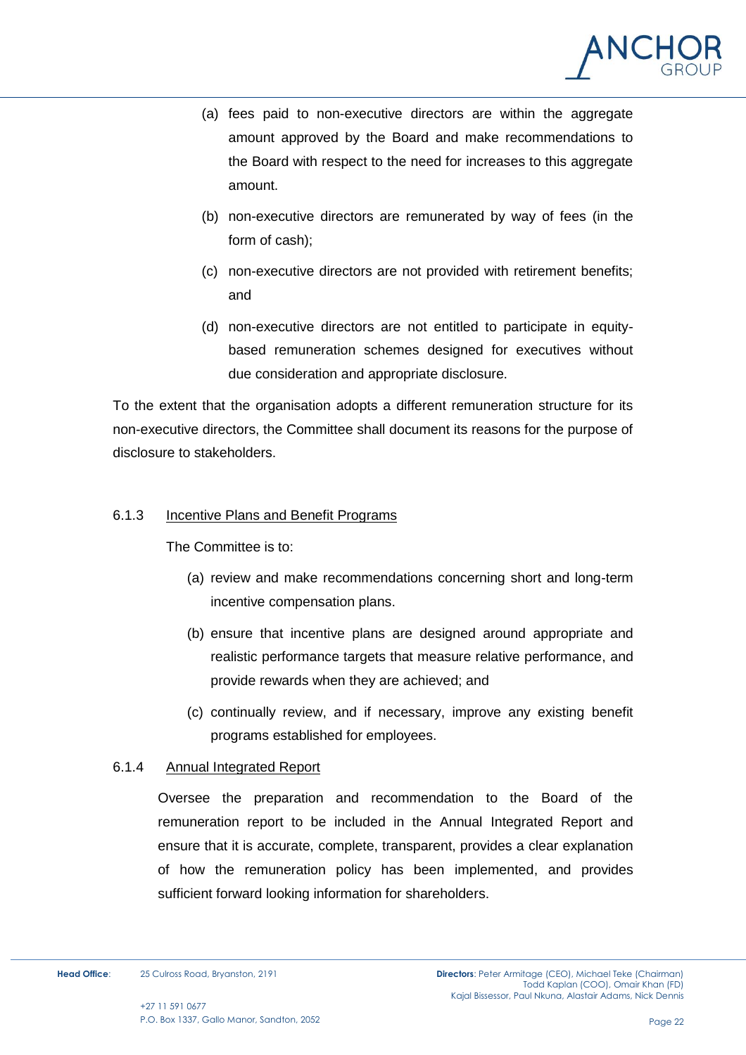

- (a) fees paid to non-executive directors are within the aggregate amount approved by the Board and make recommendations to the Board with respect to the need for increases to this aggregate amount.
- (b) non-executive directors are remunerated by way of fees (in the form of cash);
- (c) non-executive directors are not provided with retirement benefits; and
- (d) non-executive directors are not entitled to participate in equitybased remuneration schemes designed for executives without due consideration and appropriate disclosure.

To the extent that the organisation adopts a different remuneration structure for its non-executive directors, the Committee shall document its reasons for the purpose of disclosure to stakeholders.

# 6.1.3 Incentive Plans and Benefit Programs

The Committee is to:

- (a) review and make recommendations concerning short and long-term incentive compensation plans.
- (b) ensure that incentive plans are designed around appropriate and realistic performance targets that measure relative performance, and provide rewards when they are achieved; and
- (c) continually review, and if necessary, improve any existing benefit programs established for employees.

#### 6.1.4 Annual Integrated Report

Oversee the preparation and recommendation to the Board of the remuneration report to be included in the Annual Integrated Report and ensure that it is accurate, complete, transparent, provides a clear explanation of how the remuneration policy has been implemented, and provides sufficient forward looking information for shareholders.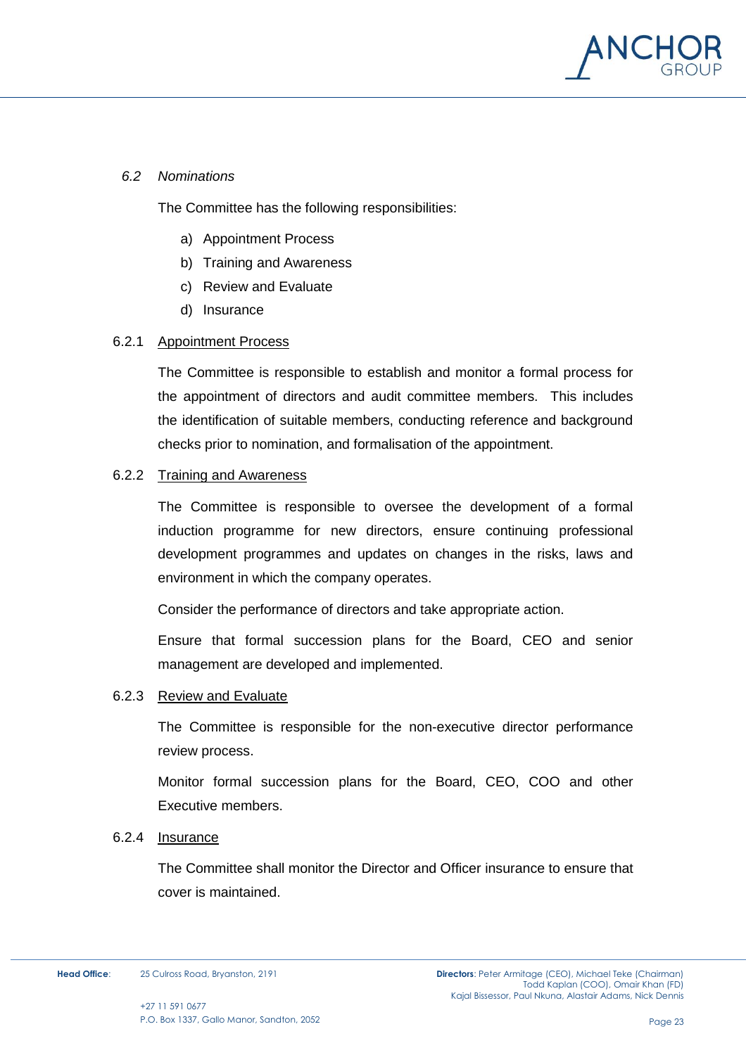

#### *6.2 Nominations*

The Committee has the following responsibilities:

- a) Appointment Process
- b) Training and Awareness
- c) Review and Evaluate
- d) Insurance

#### 6.2.1 Appointment Process

The Committee is responsible to establish and monitor a formal process for the appointment of directors and audit committee members. This includes the identification of suitable members, conducting reference and background checks prior to nomination, and formalisation of the appointment.

#### 6.2.2 Training and Awareness

The Committee is responsible to oversee the development of a formal induction programme for new directors, ensure continuing professional development programmes and updates on changes in the risks, laws and environment in which the company operates.

Consider the performance of directors and take appropriate action.

Ensure that formal succession plans for the Board, CEO and senior management are developed and implemented.

#### 6.2.3 Review and Evaluate

The Committee is responsible for the non-executive director performance review process.

Monitor formal succession plans for the Board, CEO, COO and other Executive members.

#### 6.2.4 Insurance

The Committee shall monitor the Director and Officer insurance to ensure that cover is maintained.